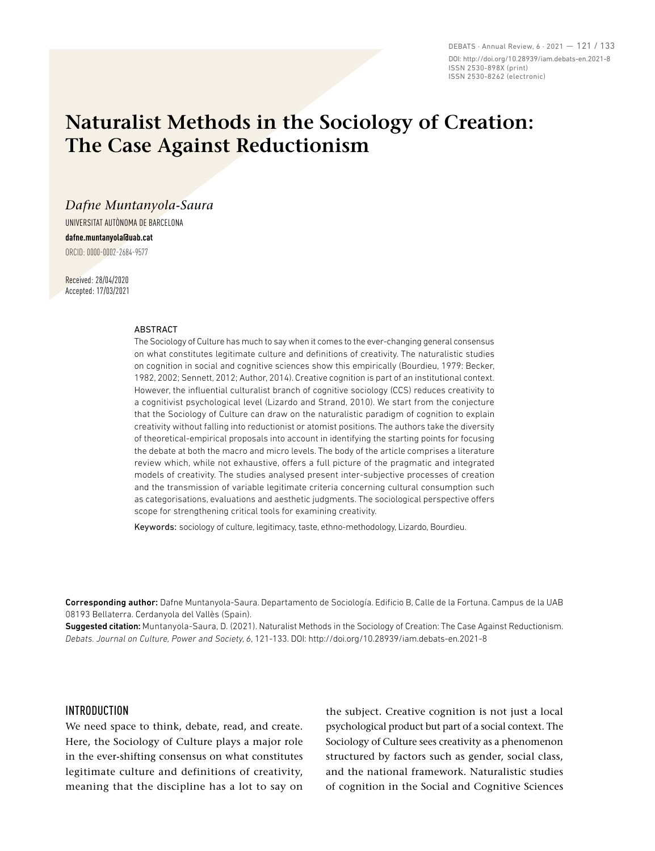DEBATS · Annual Review, 6 · 2021 — 121 / 133 DOI: http://doi.org/10.28939/iam.debats-en.2021-8 ISSN 2530-898X (print) ISSN 2530-8262 (electronic)

# **Naturalist Methods in the Sociology of Creation: The Case Against Reductionism**

## *Dafne Muntanyola-Saura*

UNIVERSITAT AUTÒNOMA DE BARCELONA **dafne.muntanyola@uab.cat** ORCID: 0000-0002-2684-9577

Received: 28/04/2020 Accepted: 17/03/2021

#### ABSTRACT

The Sociology of Culture has much to say when it comes to the ever-changing general consensus on what constitutes legitimate culture and definitions of creativity. The naturalistic studies on cognition in social and cognitive sciences show this empirically (Bourdieu, 1979: Becker, 1982, 2002; Sennett, 2012; Author, 2014). Creative cognition is part of an institutional context. However, the influential culturalist branch of cognitive sociology (CCS) reduces creativity to a cognitivist psychological level (Lizardo and Strand, 2010). We start from the conjecture that the Sociology of Culture can draw on the naturalistic paradigm of cognition to explain creativity without falling into reductionist or atomist positions. The authors take the diversity of theoretical-empirical proposals into account in identifying the starting points for focusing the debate at both the macro and micro levels. The body of the article comprises a literature review which, while not exhaustive, offers a full picture of the pragmatic and integrated models of creativity. The studies analysed present inter-subjective processes of creation and the transmission of variable legitimate criteria concerning cultural consumption such as categorisations, evaluations and aesthetic judgments. The sociological perspective offers scope for strengthening critical tools for examining creativity.

Keywords: sociology of culture, legitimacy, taste, ethno-methodology, Lizardo, Bourdieu.

Corresponding author: Dafne Muntanyola-Saura. Departamento de Sociología. Edificio B, Calle de la Fortuna. Campus de la UAB 08193 Bellaterra. Cerdanyola del Vallès (Spain).

Suggested citation: Muntanyola-Saura, D. (2021). Naturalist Methods in the Sociology of Creation: The Case Against Reductionism. *Debats. Journal on Culture, Power and Society, 6*, 121-133. DOI: http://doi.org/10.28939/iam.debats-en.2021-8

### INTRODUCTION

We need space to think, debate, read, and create. Here, the Sociology of Culture plays a major role in the ever-shifting consensus on what constitutes legitimate culture and definitions of creativity, meaning that the discipline has a lot to say on the subject. Creative cognition is not just a local psychological product but part of a social context. The Sociology of Culture sees creativity as a phenomenon structured by factors such as gender, social class, and the national framework. Naturalistic studies of cognition in the Social and Cognitive Sciences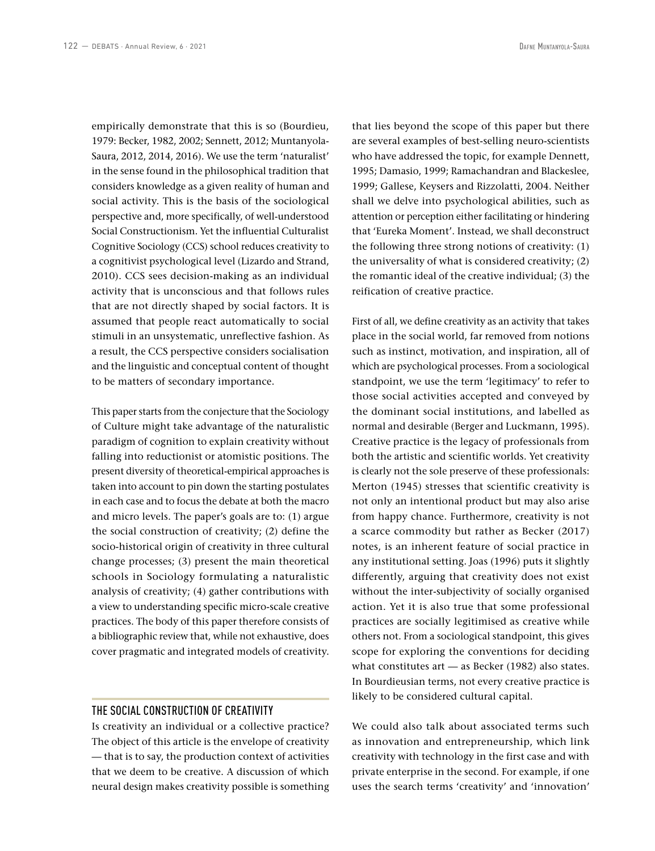empirically demonstrate that this is so (Bourdieu, 1979: Becker, 1982, 2002; Sennett, 2012; Muntanyola-Saura, 2012, 2014, 2016). We use the term 'naturalist' in the sense found in the philosophical tradition that considers knowledge as a given reality of human and social activity. This is the basis of the sociological perspective and, more specifically, of well-understood Social Constructionism. Yet the influential Culturalist Cognitive Sociology (CCS) school reduces creativity to a cognitivist psychological level (Lizardo and Strand, 2010). CCS sees decision-making as an individual activity that is unconscious and that follows rules that are not directly shaped by social factors. It is assumed that people react automatically to social stimuli in an unsystematic, unreflective fashion. As a result, the CCS perspective considers socialisation and the linguistic and conceptual content of thought to be matters of secondary importance.

This paper starts from the conjecture that the Sociology of Culture might take advantage of the naturalistic paradigm of cognition to explain creativity without falling into reductionist or atomistic positions. The present diversity of theoretical-empirical approaches is taken into account to pin down the starting postulates in each case and to focus the debate at both the macro and micro levels. The paper's goals are to: (1) argue the social construction of creativity; (2) define the socio-historical origin of creativity in three cultural change processes; (3) present the main theoretical schools in Sociology formulating a naturalistic analysis of creativity; (4) gather contributions with a view to understanding specific micro-scale creative practices. The body of this paper therefore consists of a bibliographic review that, while not exhaustive, does cover pragmatic and integrated models of creativity.

#### THE SOCIAL CONSTRUCTION OF CREATIVITY

Is creativity an individual or a collective practice? The object of this article is the envelope of creativity — that is to say, the production context of activities that we deem to be creative. A discussion of which neural design makes creativity possible is something that lies beyond the scope of this paper but there are several examples of best-selling neuro-scientists who have addressed the topic, for example Dennett, 1995; Damasio, 1999; Ramachandran and Blackeslee, 1999; Gallese, Keysers and Rizzolatti, 2004. Neither shall we delve into psychological abilities, such as attention or perception either facilitating or hindering that 'Eureka Moment'. Instead, we shall deconstruct the following three strong notions of creativity: (1) the universality of what is considered creativity; (2) the romantic ideal of the creative individual; (3) the reification of creative practice.

First of all, we define creativity as an activity that takes place in the social world, far removed from notions such as instinct, motivation, and inspiration, all of which are psychological processes. From a sociological standpoint, we use the term 'legitimacy' to refer to those social activities accepted and conveyed by the dominant social institutions, and labelled as normal and desirable (Berger and Luckmann, 1995). Creative practice is the legacy of professionals from both the artistic and scientific worlds. Yet creativity is clearly not the sole preserve of these professionals: Merton (1945) stresses that scientific creativity is not only an intentional product but may also arise from happy chance. Furthermore, creativity is not a scarce commodity but rather as Becker (2017) notes, is an inherent feature of social practice in any institutional setting. Joas (1996) puts it slightly differently, arguing that creativity does not exist without the inter-subjectivity of socially organised action. Yet it is also true that some professional practices are socially legitimised as creative while others not. From a sociological standpoint, this gives scope for exploring the conventions for deciding what constitutes art — as Becker (1982) also states. In Bourdieusian terms, not every creative practice is likely to be considered cultural capital.

We could also talk about associated terms such as innovation and entrepreneurship, which link creativity with technology in the first case and with private enterprise in the second. For example, if one uses the search terms 'creativity' and 'innovation'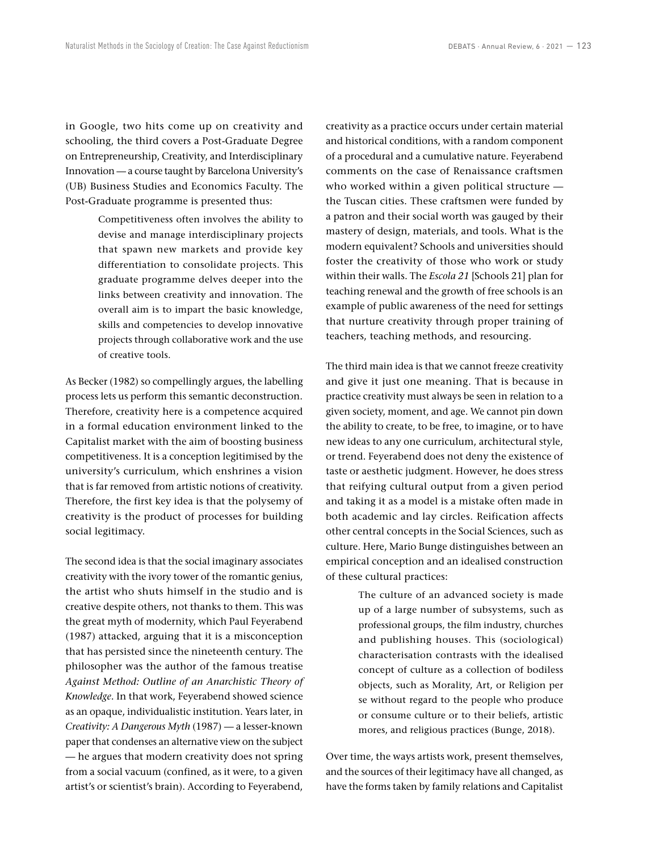in Google, two hits come up on creativity and schooling, the third covers a Post-Graduate Degree on Entrepreneurship, Creativity, and Interdisciplinary Innovation — a course taught by Barcelona University's (UB) Business Studies and Economics Faculty. The Post-Graduate programme is presented thus:

> Competitiveness often involves the ability to devise and manage interdisciplinary projects that spawn new markets and provide key differentiation to consolidate projects. This graduate programme delves deeper into the links between creativity and innovation. The overall aim is to impart the basic knowledge, skills and competencies to develop innovative projects through collaborative work and the use of creative tools.

As Becker (1982) so compellingly argues, the labelling process lets us perform this semantic deconstruction. Therefore, creativity here is a competence acquired in a formal education environment linked to the Capitalist market with the aim of boosting business competitiveness. It is a conception legitimised by the university's curriculum, which enshrines a vision that is far removed from artistic notions of creativity. Therefore, the first key idea is that the polysemy of creativity is the product of processes for building social legitimacy.

The second idea is that the social imaginary associates creativity with the ivory tower of the romantic genius, the artist who shuts himself in the studio and is creative despite others, not thanks to them. This was the great myth of modernity, which Paul Feyerabend (1987) attacked, arguing that it is a misconception that has persisted since the nineteenth century. The philosopher was the author of the famous treatise *Against Method: Outline of an Anarchistic Theory of Knowledge*. In that work, Feyerabend showed science as an opaque, individualistic institution. Years later, in *Creativity: A Dangerous Myth* (1987) — a lesser-known paper that condenses an alternative view on the subject — he argues that modern creativity does not spring from a social vacuum (confined, as it were, to a given artist's or scientist's brain). According to Feyerabend, creativity as a practice occurs under certain material and historical conditions, with a random component of a procedural and a cumulative nature. Feyerabend comments on the case of Renaissance craftsmen who worked within a given political structure the Tuscan cities. These craftsmen were funded by a patron and their social worth was gauged by their mastery of design, materials, and tools. What is the modern equivalent? Schools and universities should foster the creativity of those who work or study within their walls. The *Escola 21* [Schools 21] plan for teaching renewal and the growth of free schools is an example of public awareness of the need for settings that nurture creativity through proper training of teachers, teaching methods, and resourcing.

The third main idea is that we cannot freeze creativity and give it just one meaning. That is because in practice creativity must always be seen in relation to a given society, moment, and age. We cannot pin down the ability to create, to be free, to imagine, or to have new ideas to any one curriculum, architectural style, or trend. Feyerabend does not deny the existence of taste or aesthetic judgment. However, he does stress that reifying cultural output from a given period and taking it as a model is a mistake often made in both academic and lay circles. Reification affects other central concepts in the Social Sciences, such as culture. Here, Mario Bunge distinguishes between an empirical conception and an idealised construction of these cultural practices:

> The culture of an advanced society is made up of a large number of subsystems, such as professional groups, the film industry, churches and publishing houses. This (sociological) characterisation contrasts with the idealised concept of culture as a collection of bodiless objects, such as Morality, Art, or Religion per se without regard to the people who produce or consume culture or to their beliefs, artistic mores, and religious practices (Bunge, 2018).

Over time, the ways artists work, present themselves, and the sources of their legitimacy have all changed, as have the forms taken by family relations and Capitalist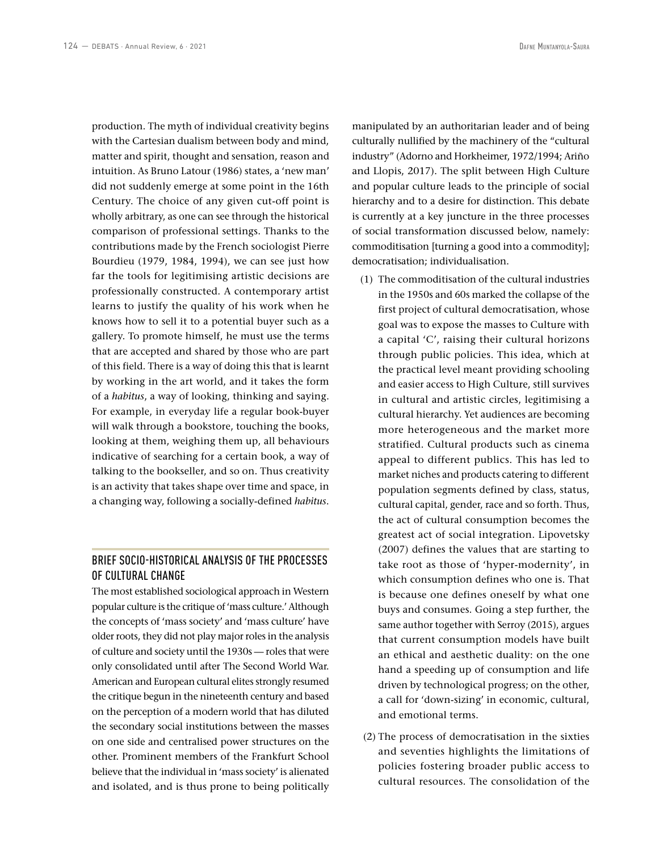production. The myth of individual creativity begins with the Cartesian dualism between body and mind, matter and spirit, thought and sensation, reason and intuition. As Bruno Latour (1986) states, a 'new man' did not suddenly emerge at some point in the 16th Century. The choice of any given cut-off point is wholly arbitrary, as one can see through the historical comparison of professional settings. Thanks to the contributions made by the French sociologist Pierre Bourdieu (1979, 1984, 1994), we can see just how far the tools for legitimising artistic decisions are professionally constructed. A contemporary artist learns to justify the quality of his work when he knows how to sell it to a potential buyer such as a gallery. To promote himself, he must use the terms that are accepted and shared by those who are part of this field. There is a way of doing this that is learnt by working in the art world, and it takes the form of a *habitus*, a way of looking, thinking and saying. For example, in everyday life a regular book-buyer will walk through a bookstore, touching the books, looking at them, weighing them up, all behaviours indicative of searching for a certain book, a way of talking to the bookseller, and so on. Thus creativity is an activity that takes shape over time and space, in a changing way, following a socially-defined *habitus*.

## BRIEF SOCIO-HISTORICAL ANALYSIS OF THE PROCESSES OF CULTURAL CHANGE

The most established sociological approach in Western popular culture is the critique of 'mass culture.' Although the concepts of 'mass society' and 'mass culture' have older roots, they did not play major roles in the analysis of culture and society until the 1930s — roles that were only consolidated until after The Second World War. American and European cultural elites strongly resumed the critique begun in the nineteenth century and based on the perception of a modern world that has diluted the secondary social institutions between the masses on one side and centralised power structures on the other. Prominent members of the Frankfurt School believe that the individual in 'mass society' is alienated and isolated, and is thus prone to being politically

manipulated by an authoritarian leader and of being culturally nullified by the machinery of the "cultural industry" (Adorno and Horkheimer, 1972/1994; Ariño and Llopis, 2017). The split between High Culture and popular culture leads to the principle of social hierarchy and to a desire for distinction. This debate is currently at a key juncture in the three processes of social transformation discussed below, namely: commoditisation [turning a good into a commodity]; democratisation; individualisation.

- (1) The commoditisation of the cultural industries in the 1950s and 60s marked the collapse of the first project of cultural democratisation, whose goal was to expose the masses to Culture with a capital 'C', raising their cultural horizons through public policies. This idea, which at the practical level meant providing schooling and easier access to High Culture, still survives in cultural and artistic circles, legitimising a cultural hierarchy. Yet audiences are becoming more heterogeneous and the market more stratified. Cultural products such as cinema appeal to different publics. This has led to market niches and products catering to different population segments defined by class, status, cultural capital, gender, race and so forth. Thus, the act of cultural consumption becomes the greatest act of social integration. Lipovetsky (2007) defines the values that are starting to take root as those of 'hyper-modernity', in which consumption defines who one is. That is because one defines oneself by what one buys and consumes. Going a step further, the same author together with Serroy (2015), argues that current consumption models have built an ethical and aesthetic duality: on the one hand a speeding up of consumption and life driven by technological progress; on the other, a call for 'down-sizing' in economic, cultural, and emotional terms.
- (2) The process of democratisation in the sixties and seventies highlights the limitations of policies fostering broader public access to cultural resources. The consolidation of the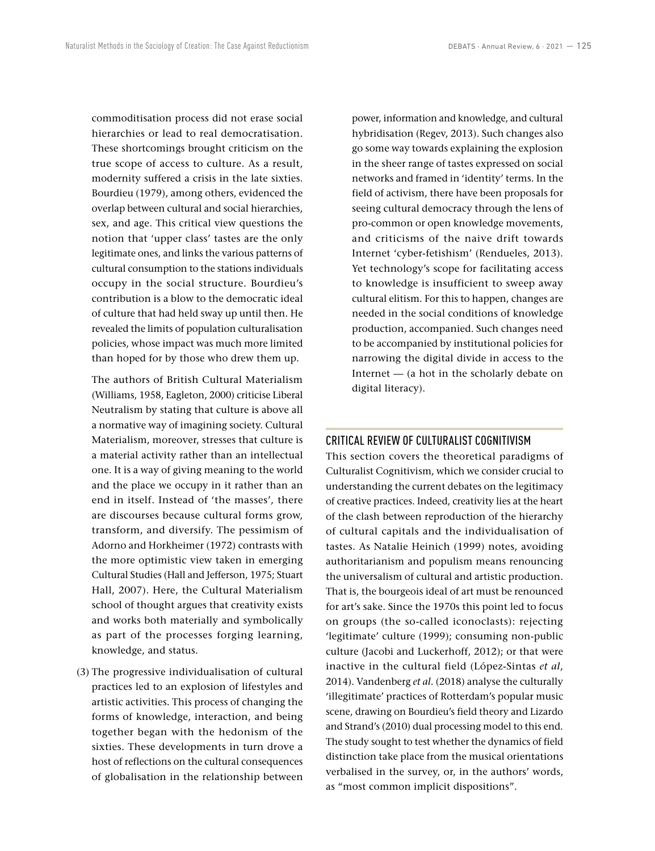commoditisation process did not erase social hierarchies or lead to real democratisation. These shortcomings brought criticism on the true scope of access to culture. As a result, modernity suffered a crisis in the late sixties. Bourdieu (1979), among others, evidenced the overlap between cultural and social hierarchies, sex, and age. This critical view questions the notion that 'upper class' tastes are the only legitimate ones, and links the various patterns of cultural consumption to the stations individuals occupy in the social structure. Bourdieu's contribution is a blow to the democratic ideal of culture that had held sway up until then. He revealed the limits of population culturalisation policies, whose impact was much more limited than hoped for by those who drew them up.

The authors of British Cultural Materialism (Williams, 1958, Eagleton, 2000) criticise Liberal Neutralism by stating that culture is above all a normative way of imagining society. Cultural Materialism, moreover, stresses that culture is a material activity rather than an intellectual one. It is a way of giving meaning to the world and the place we occupy in it rather than an end in itself. Instead of 'the masses', there are discourses because cultural forms grow, transform, and diversify. The pessimism of Adorno and Horkheimer (1972) contrasts with the more optimistic view taken in emerging Cultural Studies (Hall and Jefferson, 1975; Stuart Hall, 2007). Here, the Cultural Materialism school of thought argues that creativity exists and works both materially and symbolically as part of the processes forging learning, knowledge, and status.

 (3) The progressive individualisation of cultural practices led to an explosion of lifestyles and artistic activities. This process of changing the forms of knowledge, interaction, and being together began with the hedonism of the sixties. These developments in turn drove a host of reflections on the cultural consequences of globalisation in the relationship between power, information and knowledge, and cultural hybridisation (Regev, 2013). Such changes also go some way towards explaining the explosion in the sheer range of tastes expressed on social networks and framed in 'identity' terms. In the field of activism, there have been proposals for seeing cultural democracy through the lens of pro-common or open knowledge movements, and criticisms of the naive drift towards Internet 'cyber-fetishism' (Rendueles, 2013). Yet technology's scope for facilitating access to knowledge is insufficient to sweep away cultural elitism. For this to happen, changes are needed in the social conditions of knowledge production, accompanied. Such changes need to be accompanied by institutional policies for narrowing the digital divide in access to the Internet — (a hot in the scholarly debate on digital literacy).

## CRITICAL REVIEW OF CULTURALIST COGNITIVISM

This section covers the theoretical paradigms of Culturalist Cognitivism, which we consider crucial to understanding the current debates on the legitimacy of creative practices. Indeed, creativity lies at the heart of the clash between reproduction of the hierarchy of cultural capitals and the individualisation of tastes. As Natalie Heinich (1999) notes, avoiding authoritarianism and populism means renouncing the universalism of cultural and artistic production. That is, the bourgeois ideal of art must be renounced for art's sake. Since the 1970s this point led to focus on groups (the so-called iconoclasts): rejecting 'legitimate' culture (1999); consuming non-public culture (Jacobi and Luckerhoff, 2012); or that were inactive in the cultural field (López-Sintas *et al*, 2014). Vandenberg *et al*. (2018) analyse the culturally 'illegitimate' practices of Rotterdam's popular music scene, drawing on Bourdieu's field theory and Lizardo and Strand's (2010) dual processing model to this end. The study sought to test whether the dynamics of field distinction take place from the musical orientations verbalised in the survey, or, in the authors' words, as "most common implicit dispositions".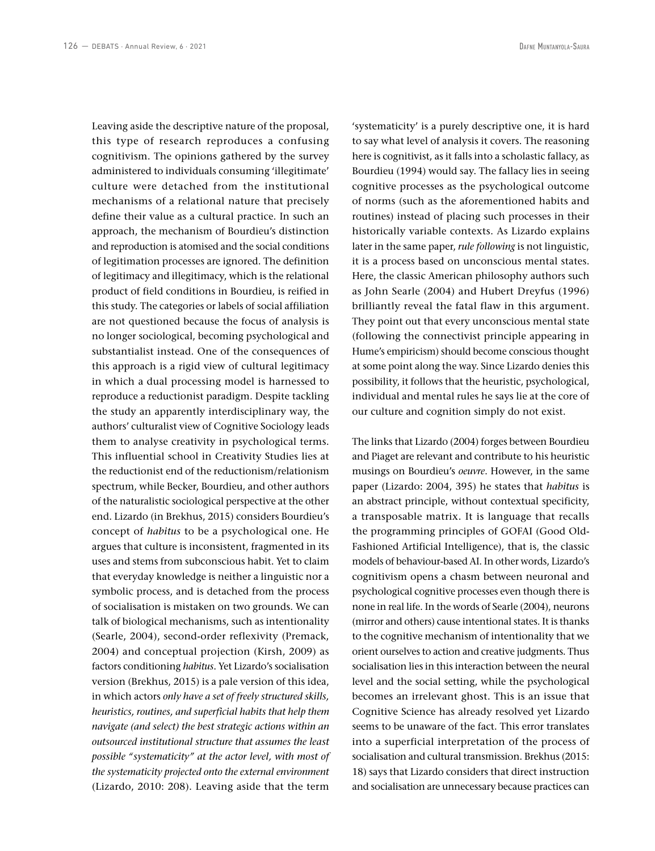Leaving aside the descriptive nature of the proposal, this type of research reproduces a confusing cognitivism. The opinions gathered by the survey administered to individuals consuming 'illegitimate' culture were detached from the institutional mechanisms of a relational nature that precisely define their value as a cultural practice. In such an approach, the mechanism of Bourdieu's distinction and reproduction is atomised and the social conditions of legitimation processes are ignored. The definition of legitimacy and illegitimacy, which is the relational product of field conditions in Bourdieu, is reified in this study. The categories or labels of social affiliation are not questioned because the focus of analysis is no longer sociological, becoming psychological and substantialist instead. One of the consequences of this approach is a rigid view of cultural legitimacy in which a dual processing model is harnessed to reproduce a reductionist paradigm. Despite tackling the study an apparently interdisciplinary way, the authors' culturalist view of Cognitive Sociology leads them to analyse creativity in psychological terms. This influential school in Creativity Studies lies at the reductionist end of the reductionism/relationism spectrum, while Becker, Bourdieu, and other authors of the naturalistic sociological perspective at the other end. Lizardo (in Brekhus, 2015) considers Bourdieu's concept of *habitus* to be a psychological one. He argues that culture is inconsistent, fragmented in its uses and stems from subconscious habit. Yet to claim that everyday knowledge is neither a linguistic nor a symbolic process, and is detached from the process of socialisation is mistaken on two grounds. We can talk of biological mechanisms, such as intentionality (Searle, 2004), second-order reflexivity (Premack, 2004) and conceptual projection (Kirsh, 2009) as factors conditioning *habitus*. Yet Lizardo's socialisation version (Brekhus, 2015) is a pale version of this idea, in which actors *only have a set of freely structured skills, heuristics, routines, and superficial habits that help them navigate (and select) the best strategic actions within an outsourced institutional structure that assumes the least possible "systematicity" at the actor level, with most of the systematicity projected onto the external environment* (Lizardo, 2010: 208). Leaving aside that the term 'systematicity' is a purely descriptive one, it is hard to say what level of analysis it covers. The reasoning here is cognitivist, as it falls into a scholastic fallacy, as Bourdieu (1994) would say. The fallacy lies in seeing cognitive processes as the psychological outcome of norms (such as the aforementioned habits and routines) instead of placing such processes in their historically variable contexts. As Lizardo explains later in the same paper, *rule following* is not linguistic, it is a process based on unconscious mental states. Here, the classic American philosophy authors such as John Searle (2004) and Hubert Dreyfus (1996) brilliantly reveal the fatal flaw in this argument. They point out that every unconscious mental state (following the connectivist principle appearing in Hume's empiricism) should become conscious thought at some point along the way. Since Lizardo denies this possibility, it follows that the heuristic, psychological, individual and mental rules he says lie at the core of our culture and cognition simply do not exist.

The links that Lizardo (2004) forges between Bourdieu and Piaget are relevant and contribute to his heuristic musings on Bourdieu's *oeuvre*. However, in the same paper (Lizardo: 2004, 395) he states that *habitus* is an abstract principle, without contextual specificity, a transposable matrix. It is language that recalls the programming principles of GOFAI (Good Old-Fashioned Artificial Intelligence), that is, the classic models of behaviour-based AI. In other words, Lizardo's cognitivism opens a chasm between neuronal and psychological cognitive processes even though there is none in real life. In the words of Searle (2004), neurons (mirror and others) cause intentional states. It is thanks to the cognitive mechanism of intentionality that we orient ourselves to action and creative judgments. Thus socialisation lies in this interaction between the neural level and the social setting, while the psychological becomes an irrelevant ghost. This is an issue that Cognitive Science has already resolved yet Lizardo seems to be unaware of the fact. This error translates into a superficial interpretation of the process of socialisation and cultural transmission. Brekhus (2015: 18) says that Lizardo considers that direct instruction and socialisation are unnecessary because practices can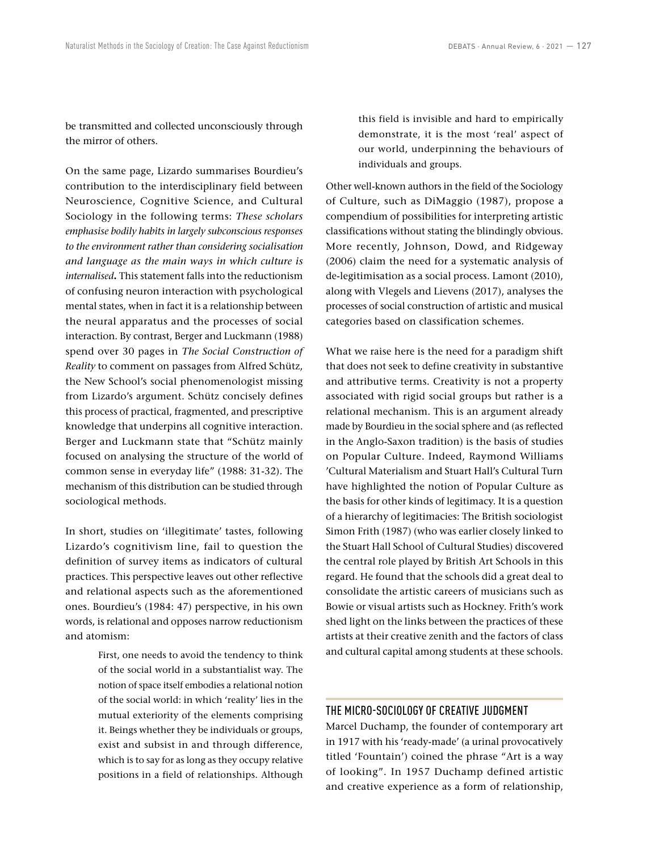be transmitted and collected unconsciously through the mirror of others.

On the same page, Lizardo summarises Bourdieu's contribution to the interdisciplinary field between Neuroscience, Cognitive Science, and Cultural Sociology in the following terms: *These scholars emphasise bodily habits in largely subconscious responses to the environment rather than considering socialisation and language as the main ways in which culture is internalised***.** This statement falls into the reductionism of confusing neuron interaction with psychological mental states, when in fact it is a relationship between the neural apparatus and the processes of social interaction. By contrast, Berger and Luckmann (1988) spend over 30 pages in *The Social Construction of Reality* to comment on passages from Alfred Schütz, the New School's social phenomenologist missing from Lizardo's argument. Schütz concisely defines this process of practical, fragmented, and prescriptive knowledge that underpins all cognitive interaction. Berger and Luckmann state that "Schütz mainly focused on analysing the structure of the world of common sense in everyday life" (1988: 31-32). The mechanism of this distribution can be studied through sociological methods.

In short, studies on 'illegitimate' tastes, following Lizardo's cognitivism line, fail to question the definition of survey items as indicators of cultural practices. This perspective leaves out other reflective and relational aspects such as the aforementioned ones. Bourdieu's (1984: 47) perspective, in his own words, is relational and opposes narrow reductionism and atomism:

> First, one needs to avoid the tendency to think of the social world in a substantialist way. The notion of space itself embodies a relational notion of the social world: in which 'reality' lies in the mutual exteriority of the elements comprising it. Beings whether they be individuals or groups, exist and subsist in and through difference, which is to say for as long as they occupy relative positions in a field of relationships. Although

this field is invisible and hard to empirically demonstrate, it is the most 'real' aspect of our world, underpinning the behaviours of individuals and groups.

Other well-known authors in the field of the Sociology of Culture, such as DiMaggio (1987), propose a compendium of possibilities for interpreting artistic classifications without stating the blindingly obvious. More recently, Johnson, Dowd, and Ridgeway (2006) claim the need for a systematic analysis of de-legitimisation as a social process. Lamont (2010), along with Vlegels and Lievens (2017), analyses the processes of social construction of artistic and musical categories based on classification schemes.

What we raise here is the need for a paradigm shift that does not seek to define creativity in substantive and attributive terms. Creativity is not a property associated with rigid social groups but rather is a relational mechanism. This is an argument already made by Bourdieu in the social sphere and (as reflected in the Anglo-Saxon tradition) is the basis of studies on Popular Culture. Indeed, Raymond Williams 'Cultural Materialism and Stuart Hall's Cultural Turn have highlighted the notion of Popular Culture as the basis for other kinds of legitimacy. It is a question of a hierarchy of legitimacies: The British sociologist Simon Frith (1987) (who was earlier closely linked to the Stuart Hall School of Cultural Studies) discovered the central role played by British Art Schools in this regard. He found that the schools did a great deal to consolidate the artistic careers of musicians such as Bowie or visual artists such as Hockney. Frith's work shed light on the links between the practices of these artists at their creative zenith and the factors of class and cultural capital among students at these schools.

## THE MICRO-SOCIOLOGY OF CREATIVE JUDGMENT

Marcel Duchamp, the founder of contemporary art in 1917 with his 'ready-made' (a urinal provocatively titled 'Fountain') coined the phrase "Art is a way of looking". In 1957 Duchamp defined artistic and creative experience as a form of relationship,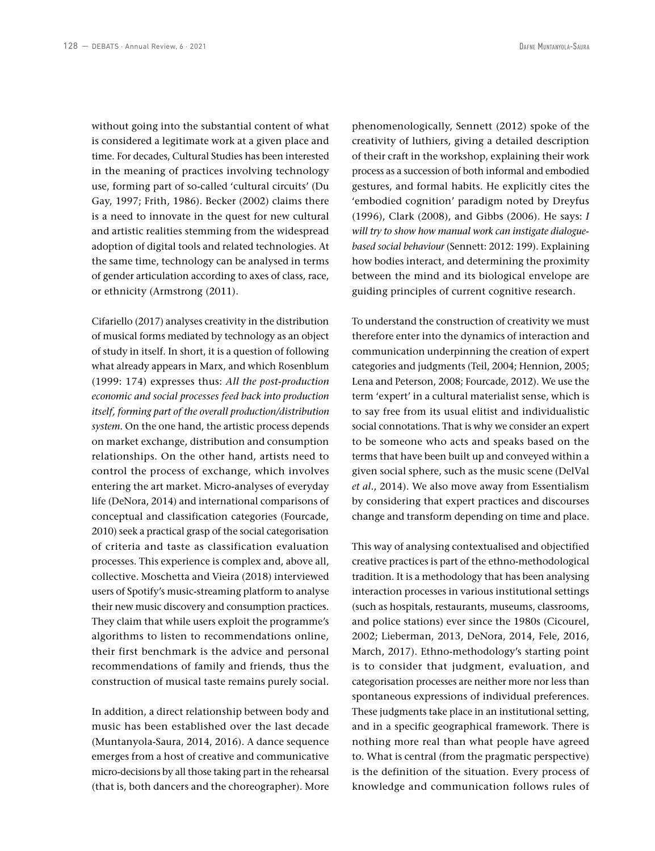without going into the substantial content of what is considered a legitimate work at a given place and time. For decades, Cultural Studies has been interested in the meaning of practices involving technology use, forming part of so-called 'cultural circuits' (Du Gay, 1997; Frith, 1986). Becker (2002) claims there is a need to innovate in the quest for new cultural and artistic realities stemming from the widespread adoption of digital tools and related technologies. At the same time, technology can be analysed in terms of gender articulation according to axes of class, race, or ethnicity (Armstrong (2011).

Cifariello (2017) analyses creativity in the distribution of musical forms mediated by technology as an object of study in itself. In short, it is a question of following what already appears in Marx, and which Rosenblum (1999: 174) expresses thus: *All the post-production economic and social processes feed back into production itself, forming part of the overall production/distribution system*. On the one hand, the artistic process depends on market exchange, distribution and consumption relationships. On the other hand, artists need to control the process of exchange, which involves entering the art market. Micro-analyses of everyday life (DeNora, 2014) and international comparisons of conceptual and classification categories (Fourcade, 2010) seek a practical grasp of the social categorisation of criteria and taste as classification evaluation processes. This experience is complex and, above all, collective. Moschetta and Vieira (2018) interviewed users of Spotify's music-streaming platform to analyse their new music discovery and consumption practices. They claim that while users exploit the programme's algorithms to listen to recommendations online, their first benchmark is the advice and personal recommendations of family and friends, thus the construction of musical taste remains purely social.

In addition, a direct relationship between body and music has been established over the last decade (Muntanyola-Saura, 2014, 2016). A dance sequence emerges from a host of creative and communicative micro-decisions by all those taking part in the rehearsal (that is, both dancers and the choreographer). More

phenomenologically, Sennett (2012) spoke of the creativity of luthiers, giving a detailed description of their craft in the workshop, explaining their work process as a succession of both informal and embodied gestures, and formal habits. He explicitly cites the 'embodied cognition' paradigm noted by Dreyfus (1996), Clark (2008), and Gibbs (2006). He says: *I will try to show how manual work can instigate dialoguebased social behaviour* (Sennett: 2012: 199). Explaining how bodies interact, and determining the proximity between the mind and its biological envelope are guiding principles of current cognitive research.

To understand the construction of creativity we must therefore enter into the dynamics of interaction and communication underpinning the creation of expert categories and judgments (Teil, 2004; Hennion, 2005; Lena and Peterson, 2008; Fourcade, 2012). We use the term 'expert' in a cultural materialist sense, which is to say free from its usual elitist and individualistic social connotations. That is why we consider an expert to be someone who acts and speaks based on the terms that have been built up and conveyed within a given social sphere, such as the music scene (DelVal *et al*., 2014). We also move away from Essentialism by considering that expert practices and discourses change and transform depending on time and place.

This way of analysing contextualised and objectified creative practices is part of the ethno-methodological tradition. It is a methodology that has been analysing interaction processes in various institutional settings (such as hospitals, restaurants, museums, classrooms, and police stations) ever since the 1980s (Cicourel, 2002; Lieberman, 2013, DeNora, 2014, Fele, 2016, March, 2017). Ethno-methodology's starting point is to consider that judgment, evaluation, and categorisation processes are neither more nor less than spontaneous expressions of individual preferences. These judgments take place in an institutional setting, and in a specific geographical framework. There is nothing more real than what people have agreed to. What is central (from the pragmatic perspective) is the definition of the situation. Every process of knowledge and communication follows rules of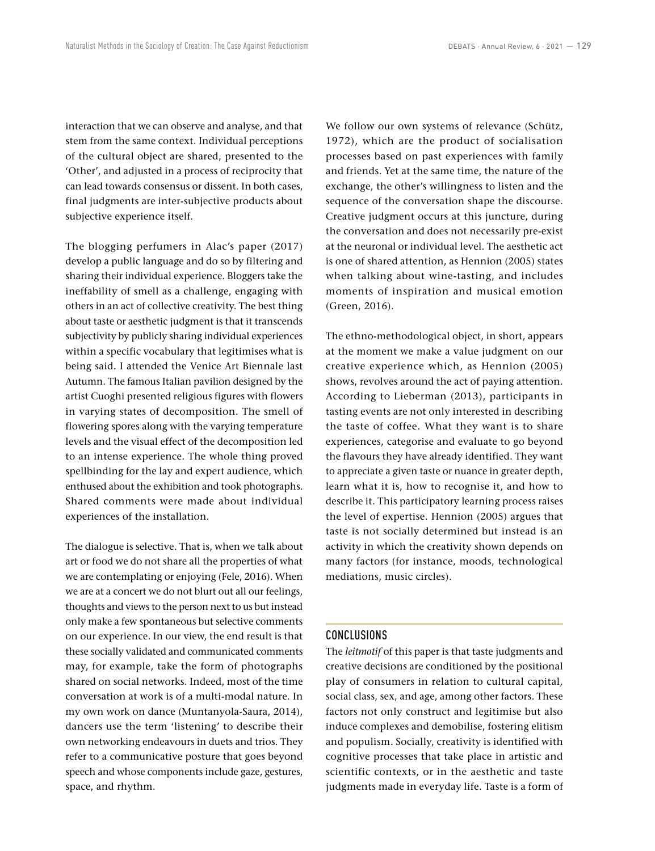interaction that we can observe and analyse, and that stem from the same context. Individual perceptions of the cultural object are shared, presented to the 'Other', and adjusted in a process of reciprocity that can lead towards consensus or dissent. In both cases, final judgments are inter-subjective products about subjective experience itself.

The blogging perfumers in Alac's paper (2017) develop a public language and do so by filtering and sharing their individual experience. Bloggers take the ineffability of smell as a challenge, engaging with others in an act of collective creativity. The best thing about taste or aesthetic judgment is that it transcends subjectivity by publicly sharing individual experiences within a specific vocabulary that legitimises what is being said. I attended the Venice Art Biennale last Autumn. The famous Italian pavilion designed by the artist Cuoghi presented religious figures with flowers in varying states of decomposition. The smell of flowering spores along with the varying temperature levels and the visual effect of the decomposition led to an intense experience. The whole thing proved spellbinding for the lay and expert audience, which enthused about the exhibition and took photographs. Shared comments were made about individual experiences of the installation.

The dialogue is selective. That is, when we talk about art or food we do not share all the properties of what we are contemplating or enjoying (Fele, 2016). When we are at a concert we do not blurt out all our feelings, thoughts and views to the person next to us but instead only make a few spontaneous but selective comments on our experience. In our view, the end result is that these socially validated and communicated comments may, for example, take the form of photographs shared on social networks. Indeed, most of the time conversation at work is of a multi-modal nature. In my own work on dance (Muntanyola-Saura, 2014), dancers use the term 'listening' to describe their own networking endeavours in duets and trios. They refer to a communicative posture that goes beyond speech and whose components include gaze, gestures, space, and rhythm.

We follow our own systems of relevance (Schütz, 1972), which are the product of socialisation processes based on past experiences with family and friends. Yet at the same time, the nature of the exchange, the other's willingness to listen and the sequence of the conversation shape the discourse. Creative judgment occurs at this juncture, during the conversation and does not necessarily pre-exist at the neuronal or individual level. The aesthetic act is one of shared attention, as Hennion (2005) states when talking about wine-tasting, and includes moments of inspiration and musical emotion (Green, 2016).

The ethno-methodological object, in short, appears at the moment we make a value judgment on our creative experience which, as Hennion (2005) shows, revolves around the act of paying attention. According to Lieberman (2013), participants in tasting events are not only interested in describing the taste of coffee. What they want is to share experiences, categorise and evaluate to go beyond the flavours they have already identified. They want to appreciate a given taste or nuance in greater depth, learn what it is, how to recognise it, and how to describe it. This participatory learning process raises the level of expertise. Hennion (2005) argues that taste is not socially determined but instead is an activity in which the creativity shown depends on many factors (for instance, moods, technological mediations, music circles).

### CONCLUSIONS

The *leitmotif* of this paper is that taste judgments and creative decisions are conditioned by the positional play of consumers in relation to cultural capital, social class, sex, and age, among other factors. These factors not only construct and legitimise but also induce complexes and demobilise, fostering elitism and populism. Socially, creativity is identified with cognitive processes that take place in artistic and scientific contexts, or in the aesthetic and taste judgments made in everyday life. Taste is a form of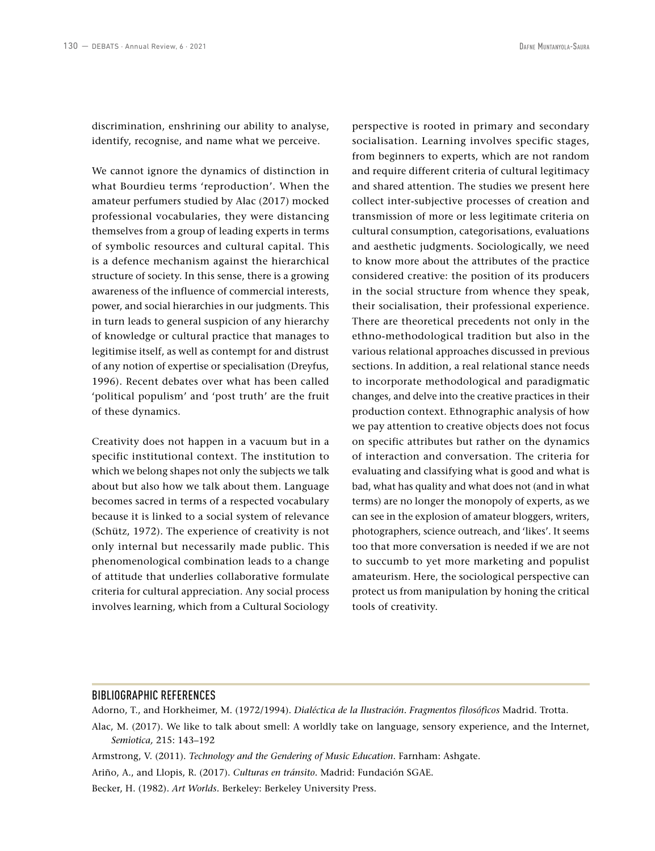discrimination, enshrining our ability to analyse, identify, recognise, and name what we perceive.

We cannot ignore the dynamics of distinction in what Bourdieu terms 'reproduction'. When the amateur perfumers studied by Alac (2017) mocked professional vocabularies, they were distancing themselves from a group of leading experts in terms of symbolic resources and cultural capital. This is a defence mechanism against the hierarchical structure of society. In this sense, there is a growing awareness of the influence of commercial interests, power, and social hierarchies in our judgments. This in turn leads to general suspicion of any hierarchy of knowledge or cultural practice that manages to legitimise itself, as well as contempt for and distrust of any notion of expertise or specialisation (Dreyfus, 1996). Recent debates over what has been called 'political populism' and 'post truth' are the fruit of these dynamics.

Creativity does not happen in a vacuum but in a specific institutional context. The institution to which we belong shapes not only the subjects we talk about but also how we talk about them. Language becomes sacred in terms of a respected vocabulary because it is linked to a social system of relevance (Schütz, 1972). The experience of creativity is not only internal but necessarily made public. This phenomenological combination leads to a change of attitude that underlies collaborative formulate criteria for cultural appreciation. Any social process involves learning, which from a Cultural Sociology perspective is rooted in primary and secondary socialisation. Learning involves specific stages, from beginners to experts, which are not random and require different criteria of cultural legitimacy and shared attention. The studies we present here collect inter-subjective processes of creation and transmission of more or less legitimate criteria on cultural consumption, categorisations, evaluations and aesthetic judgments. Sociologically, we need to know more about the attributes of the practice considered creative: the position of its producers in the social structure from whence they speak, their socialisation, their professional experience. There are theoretical precedents not only in the ethno-methodological tradition but also in the various relational approaches discussed in previous sections. In addition, a real relational stance needs to incorporate methodological and paradigmatic changes, and delve into the creative practices in their production context. Ethnographic analysis of how we pay attention to creative objects does not focus on specific attributes but rather on the dynamics of interaction and conversation. The criteria for evaluating and classifying what is good and what is bad, what has quality and what does not (and in what terms) are no longer the monopoly of experts, as we can see in the explosion of amateur bloggers, writers, photographers, science outreach, and 'likes'. It seems too that more conversation is needed if we are not to succumb to yet more marketing and populist amateurism. Here, the sociological perspective can protect us from manipulation by honing the critical tools of creativity.

#### BIBLIOGRAPHIC REFERENCES

Adorno, T., and Horkheimer, M. (1972/1994). *Dialéctica de la Ilustración. Fragmentos filosóficos* Madrid. Trotta.

Alac, M. (2017). We like to talk about smell: A worldly take on language, sensory experience, and the Internet, *Semiotica,* 215: 143–192

- Armstrong, V. (2011). *Technology and the Gendering of Music Education*. Farnham: Ashgate.
- Ariño, A., and Llopis, R. (2017). *Culturas en tránsito.* Madrid: Fundación SGAE.

Becker, H. (1982). *Art Worlds.* Berkeley: Berkeley University Press.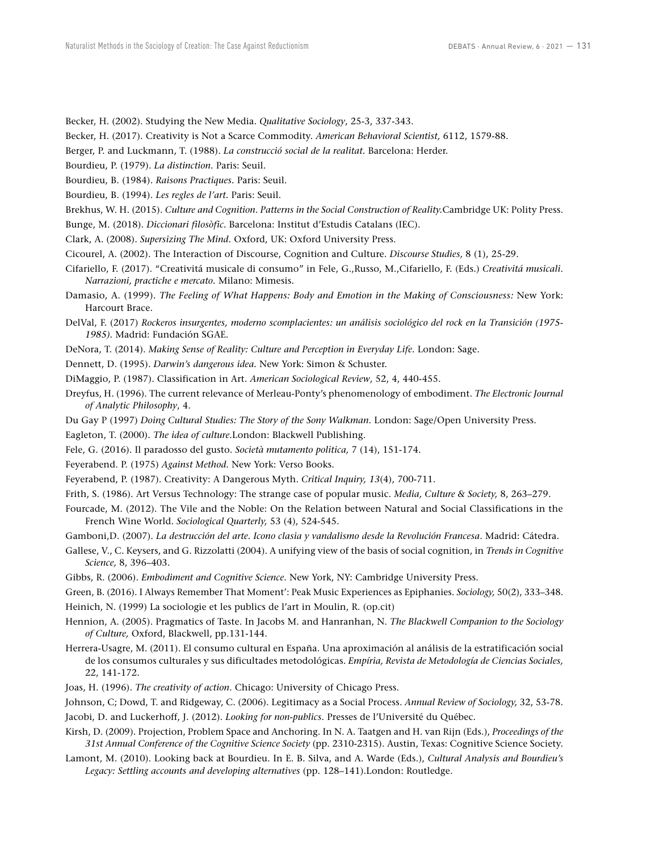Becker, H. (2002). Studying the New Media. *Qualitative Sociology*, 25-3, 337-343.

Becker, H. (2017). Creativity is Not a Scarce Commodity. *American Behavioral Scientist,* 6112, 1579-88.

Berger, P. and Luckmann, T. (1988). *La construcció social de la realitat.* Barcelona: Herder.

Bourdieu, P. (1979). *La distinction.* Paris: Seuil.

Bourdieu, B. (1984). *Raisons Practiques.* Paris: Seuil.

Bourdieu, B. (1994). *Les regles de l'art.* Paris: Seuil.

Brekhus, W. H. (2015). *Culture and Cognition*. *Patterns in the Social Construction of Reality.*Cambridge UK: Polity Press.

Bunge, M. (2018). *Diccionari filosòfic.* Barcelona: Institut d'Estudis Catalans (IEC).

Clark, A. (2008). *Supersizing The Mind*. Oxford, UK: Oxford University Press.

Cicourel, A. (2002). The Interaction of Discourse, Cognition and Culture. *Discourse Studies,* 8 (1), 25-29.

Cifariello, F. (2017). "Creativitá musicale di consumo" in Fele, G.,Russo, M.,Cifariello, F. (Eds.) *Creativitá musicali. Narrazioni, practiche e mercato.* Milano: Mimesis.

Damasio, A. (1999). *The Feeling of What Happens: Body and Emotion in the Making of Consciousness:* New York: Harcourt Brace.

DelVal, F. (2017) *Rockeros insurgentes, moderno scomplacientes: un análisis sociológico del rock en la Transición (1975- 1985).* Madrid: Fundación SGAE.

DeNora, T. (2014). *Making Sense of Reality: Culture and Perception in Everyday Life.* London: Sage.

Dennett, D. (1995). *Darwin's dangerous idea.* New York: Simon & Schuster.

DiMaggio, P. (1987). Classification in Art. *American Sociological Review*, 52, 4, 440-455.

Dreyfus, H. (1996). The current relevance of Merleau-Ponty's phenomenology of embodiment. *The Electronic Journal of Analytic Philosophy*, 4.

Du Gay P (1997) *Doing Cultural Studies: The Story of the Sony Walkman.* London: Sage/Open University Press.

Eagleton, T. (2000). *The idea of culture.*London: Blackwell Publishing.

Fele, G. (2016). Il paradosso del gusto. *Società mutamento politica,* 7 (14), 151-174.

Feyerabend. P. (1975) *Against Method.* New York: Verso Books.

Feyerabend, P. (1987). Creativity: A Dangerous Myth. *Critical Inquiry, 13*(4), 700-711.

Frith, S. (1986). Art Versus Technology: The strange case of popular music. *Media, Culture & Society,* 8, 263–279.

Fourcade, M. (2012). The Vile and the Noble: On the Relation between Natural and Social Classifications in the French Wine World. *Sociological Quarterly,* 53 (4), 524-545.

Gamboni,D. (2007). *La destrucción del arte. Icono clasia y vandalismo desde la Revolución Francesa*. Madrid: Cátedra.

Gallese, V., C. Keysers, and G. Rizzolatti (2004). A unifying view of the basis of social cognition, in *Trends in Cognitive Science,* 8, 396–403.

Gibbs, R. (2006). *Embodiment and Cognitive Science*. New York, NY: Cambridge University Press.

Green, B. (2016). I Always Remember That Moment': Peak Music Experiences as Epiphanies. *Sociology,* 50(2), 333–348. Heinich, N. (1999) La sociologie et les publics de l'art in Moulin, R. (op.cit)

Hennion, A. (2005). Pragmatics of Taste. In Jacobs M. and Hanranhan, N. *The Blackwell Companion to the Sociology of Culture,* Oxford, Blackwell, pp.131-144.

Herrera-Usagre, M. (2011). El consumo cultural en España. Una aproximación al análisis de la estratificación social de los consumos culturales y sus dificultades metodológicas. *Empíria, Revista de Metodología de Ciencias Sociales,*  22, 141-172.

Joas, H. (1996). *The creativity of action*. Chicago: University of Chicago Press.

Johnson, C; Dowd, T. and Ridgeway, C. (2006). Legitimacy as a Social Process. *Annual Review of Sociology,* 32, 53-78. Jacobi, D. and Luckerhoff, J. (2012). *Looking for non-publics.* Presses de l'Université du Québec.

Kirsh, D. (2009). Projection, Problem Space and Anchoring. In N. A. Taatgen and H. van Rijn (Eds.), *Proceedings of the 31st Annual Conference of the Cognitive Science Society* (pp. 2310-2315). Austin, Texas: Cognitive Science Society.

Lamont, M. (2010). Looking back at Bourdieu. In E. B. Silva, and A. Warde (Eds.), *Cultural Analysis and Bourdieu's Legacy: Settling accounts and developing alternatives* (pp. 128–141).London: Routledge.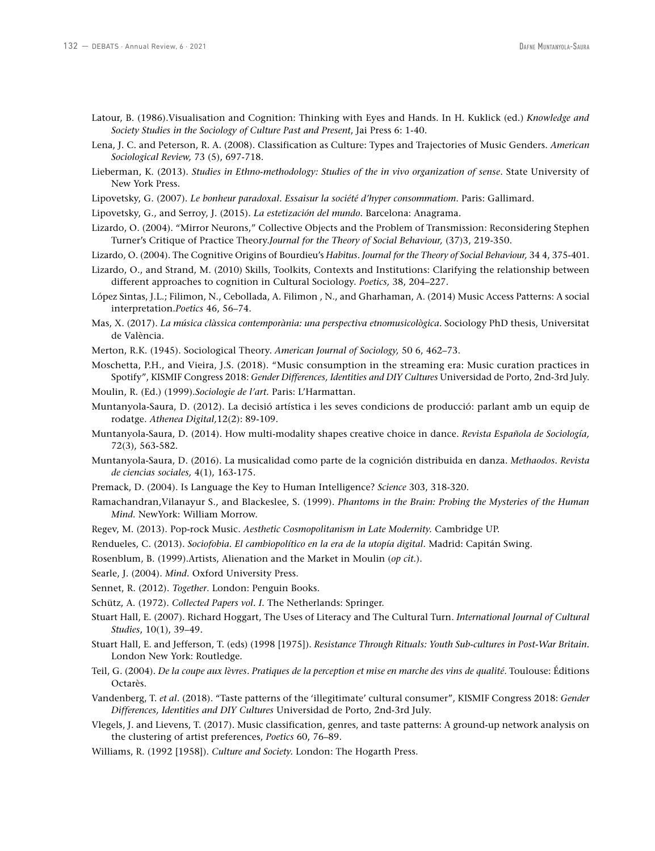- Latour, B. (1986).Visualisation and Cognition: Thinking with Eyes and Hands. In H. Kuklick (ed.) *Knowledge and Society Studies in the Sociology of Culture Past and Present*, Jai Press 6: 1-40.
- Lena, J. C. and Peterson, R. A. (2008). Classification as Culture: Types and Trajectories of Music Genders. *American Sociological Review,* 73 (5), 697-718.
- Lieberman, K. (2013). *Studies in Ethno-methodology: Studies of the in vivo organization of sense*. State University of New York Press.
- Lipovetsky, G. (2007). *Le bonheur paradoxal. Essaisur la société d'hyper consommatiom*. Paris: Gallimard.
- Lipovetsky, G., and Serroy, J. (2015). *La estetización del mundo.* Barcelona: Anagrama.
- Lizardo, O. (2004). "Mirror Neurons," Collective Objects and the Problem of Transmission: Reconsidering Stephen Turner's Critique of Practice Theory.*Journal for the Theory of Social Behaviour,* (37)3, 219-350.
- Lizardo, O. (2004). The Cognitive Origins of Bourdieu's *Habitus. Journal for the Theory of Social Behaviour,* 34 4, 375-401.
- Lizardo, O., and Strand, M. (2010) Skills, Toolkits, Contexts and Institutions: Clarifying the relationship between different approaches to cognition in Cultural Sociology. *Poetics,* 38, 204–227.
- López Sintas, J.L.; Filimon, N., Cebollada, A. Filimon , N., and Gharhaman, A. (2014) Music Access Patterns: A social interpretation.*Poetics* 46, 56–74.
- Mas, X. (2017). *La música clàssica contemporània: una perspectiva etnomusicològica.* Sociology PhD thesis, Universitat de València.
- Merton, R.K. (1945). Sociological Theory. *American Journal of Sociology,* 50 6, 462–73.
- Moschetta, P.H., and Vieira, J.S. (2018). "Music consumption in the streaming era: Music curation practices in Spotify", KISMIF Congress 2018: *Gender Differences, Identities and DIY Cultures* Universidad de Porto, 2nd-3rd July.
- Moulin, R. (Ed.) (1999).*Sociologie de l'art.* Paris: L'Harmattan.
- Muntanyola-Saura, D. (2012). La decisió artística i les seves condicions de producció: parlant amb un equip de rodatge. *Athenea Digital,*12(2): 89-109.
- Muntanyola-Saura, D. (2014). How multi-modality shapes creative choice in dance. *Revista Española de Sociología,*  72(3), 563-582.
- Muntanyola-Saura, D. (2016). La musicalidad como parte de la cognición distribuida en danza. *Methaodos. Revista de ciencias sociales,* 4(1), 163-175.
- Premack, D. (2004). Is Language the Key to Human Intelligence? *Science* 303, 318-320.
- Ramachandran,Vilanayur S., and Blackeslee, S. (1999). *Phantoms in the Brain: Probing the Mysteries of the Human Mind.* NewYork: William Morrow.
- Regev, M. (2013). Pop-rock Music. *Aesthetic Cosmopolitanism in Late Modernity.* Cambridge UP.
- Rendueles, C. (2013). *Sociofobia. El cambiopolítico en la era de la utopía digital.* Madrid: Capitán Swing.
- Rosenblum, B. (1999).Artists, Alienation and the Market in Moulin (*op cit.*).
- Searle, J. (2004). *Mind.* Oxford University Press.
- Sennet, R. (2012). *Together*. London: Penguin Books.
- Schütz, A. (1972). *Collected Papers vol. I.* The Netherlands: Springer.
- Stuart Hall, E. (2007). Richard Hoggart, The Uses of Literacy and The Cultural Turn. *International Journal of Cultural Studies*, 10(1), 39–49.
- Stuart Hall, E. and Jefferson, T. (eds) (1998 [1975]). *Resistance Through Rituals: Youth Sub-cultures in Post-War Britain.*  London New York: Routledge.
- Teil, G. (2004). *De la coupe aux lèvres. Pratiques de la perception et mise en marche des vins de qualité*. Toulouse: Éditions Octarès.
- Vandenberg, T. *et al*. (2018). "Taste patterns of the 'illegitimate' cultural consumer", KISMIF Congress 2018: *Gender Differences, Identities and DIY Cultures* Universidad de Porto, 2nd-3rd July.
- Vlegels, J. and Lievens, T. (2017). Music classification, genres, and taste patterns: A ground-up network analysis on the clustering of artist preferences, *Poetics* 60, 76–89.
- Williams, R. (1992 [1958]). *Culture and Society.* London: The Hogarth Press.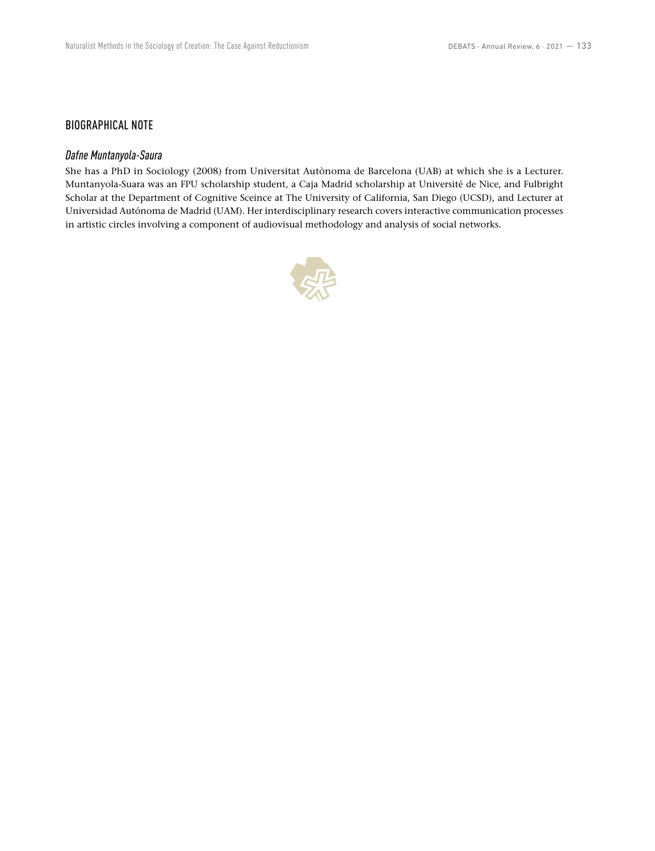## BIOGRAPHICAL NOTE

## *Dafne Muntanyola-Saura*

She has a PhD in Sociology (2008) from Universitat Autònoma de Barcelona (UAB) at which she is a Lecturer. Muntanyola-Suara was an FPU scholarship student, a Caja Madrid scholarship at Université de Nice, and Fulbright Scholar at the Department of Cognitive Sceince at The University of California, San Diego (UCSD), and Lecturer at Universidad Autónoma de Madrid (UAM). Her interdisciplinary research covers interactive communication processes in artistic circles involving a component of audiovisual methodology and analysis of social networks.